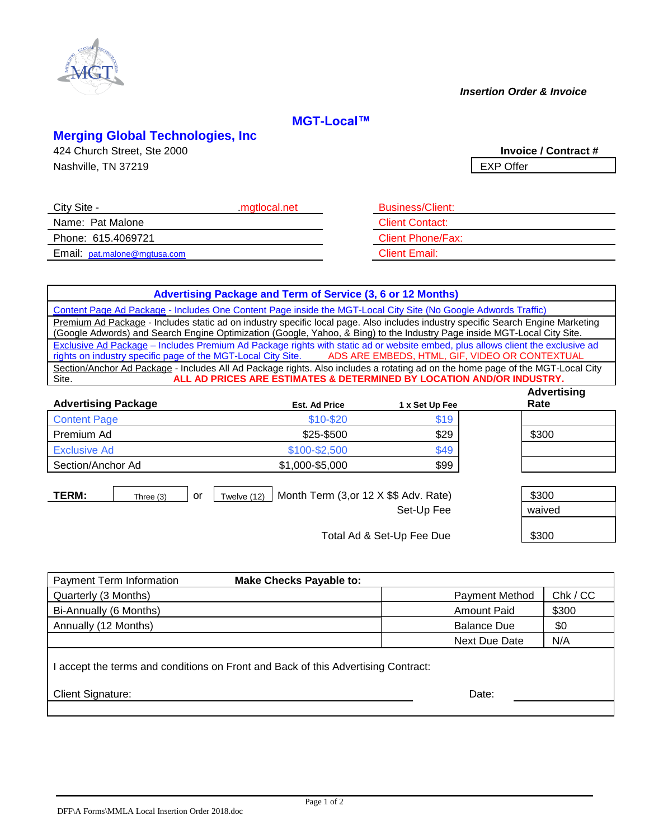

### *Insertion Order & Invoice*

# **MGT-Local™**

## **Merging Global Technologies, Inc**

424 Church Street, Ste 2000 **Invoice / Contract #** Nashville, TN 37219 **EXP Offer** 

| City Site -                         | mgtlocal.net | <b>Business/Client:</b>  |
|-------------------------------------|--------------|--------------------------|
| Name: Pat Malone                    |              | <b>Client Contact:</b>   |
| Phone: 615.4069721                  |              | <b>Client Phone/Fax:</b> |
| Email: <u>pat.malone@mgtusa.com</u> |              | <b>Client Email:</b>     |

| <b>BUSINESS/CIIENT:</b>  |
|--------------------------|
| <b>Client Contact:</b>   |
| <b>Client Phone/Fax:</b> |
| <b>Client Email:</b>     |

## **Advertising Package and Term of Service (3, 6 or 12 Months)**

Content Page Ad Package - Includes One Content Page inside the MGT-Local City Site (No Google Adwords Traffic) Premium Ad Package - Includes static ad on industry specific local page. Also includes industry specific Search Engine Marketing (Google Adwords) and Search Engine Optimization (Google, Yahoo, & Bing) to the Industry Page inside MGT-Local City Site. Exclusive Ad Package – Includes Premium Ad Package rights with static ad or website embed, plus allows client the exclusive ad rights on industry specific page of the MGT-Local City Site. ADS ARE EMBEDS, HTML, GIF, VIDEO O rights on industry specific page of the MGT-Local City Site. Section/Anchor Ad Package - Includes All Ad Package rights. Also includes a rotating ad on the home page of the MGT-Local City Site. **ALL AD PRICES ARE ESTIMATES & DETERMINED BY LOCATION AND/OR INDUSTRY.**

| <b>Advertising Package</b> |           | <b>Est. Ad Price</b>                                        | 1 x Set Up Fee | <b>Advertising</b><br>Rate |
|----------------------------|-----------|-------------------------------------------------------------|----------------|----------------------------|
| <b>Content Page</b>        |           | \$10-\$20                                                   | \$19           |                            |
| Premium Ad                 |           | \$25-\$500                                                  | \$29           | \$300                      |
| <b>Exclusive Ad</b>        |           | \$100-\$2,500                                               | \$49           |                            |
| Section/Anchor Ad          |           | \$1,000-\$5,000                                             | \$99           |                            |
|                            |           |                                                             |                |                            |
| TERM:                      | Three (3) | Month Term (3, or 12 X \$\$ Adv. Rate)<br>Twelve (12)<br>or |                | \$300                      |

| \$300  | Twelve (12)   Month Term (3,0r 12 $\times$ \$\$ Adv. Rate) | Three (3) |
|--------|------------------------------------------------------------|-----------|
| waived | Set-Up Fee                                                 |           |
|        |                                                            |           |

Total Ad & Set-Up Fee Due | \$300

| Payment Term Information                                                          | <b>Make Checks Payable to:</b> |                      |          |  |  |  |
|-----------------------------------------------------------------------------------|--------------------------------|----------------------|----------|--|--|--|
| Quarterly (3 Months)                                                              |                                | Payment Method       | Chk / CC |  |  |  |
| Bi-Annually (6 Months)                                                            |                                | <b>Amount Paid</b>   | \$300    |  |  |  |
| Annually (12 Months)                                                              |                                | <b>Balance Due</b>   | \$0      |  |  |  |
|                                                                                   |                                | <b>Next Due Date</b> | N/A      |  |  |  |
| I accept the terms and conditions on Front and Back of this Advertising Contract: |                                |                      |          |  |  |  |
| Client Signature:                                                                 |                                | Date:                |          |  |  |  |
|                                                                                   |                                |                      |          |  |  |  |